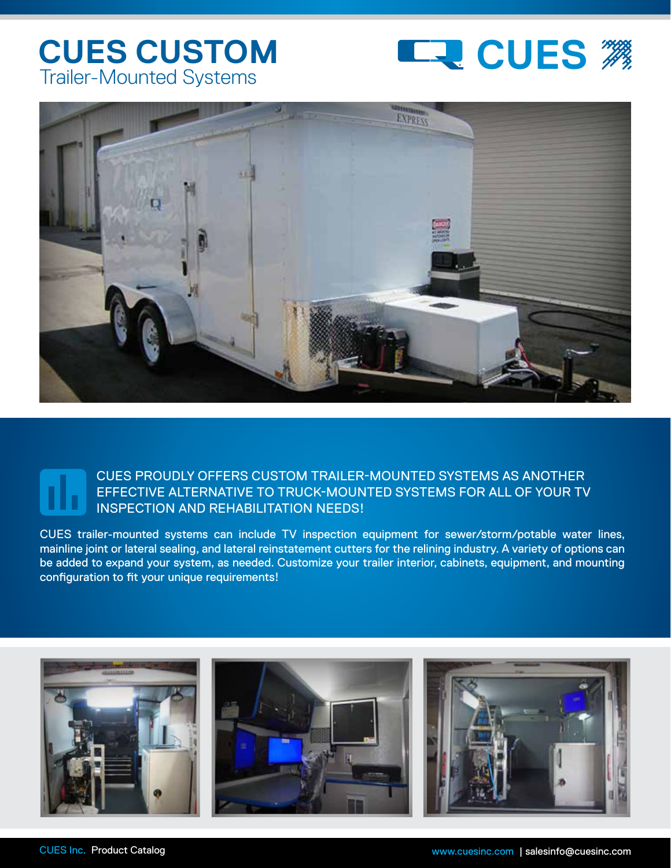## Trailer-Mounted Systems





## CUES PROUDLY OFFERS CUSTOM TRAILER-MOUNTED SYSTEMS AS ANOTHER EFFECTIVE ALTERNATIVE TO TRUCK-MOUNTED SYSTEMS FOR ALL OF YOUR TV INSPECTION AND REHABILITATION NEEDS!

CUES trailer-mounted systems can include TV inspection equipment for sewer/storm/potable water lines, mainline joint or lateral sealing, and lateral reinstatement cutters for the relining industry. A variety of options can be added to expand your system, as needed. Customize your trailer interior, cabinets, equipment, and mounting configuration to fit your unique requirements!